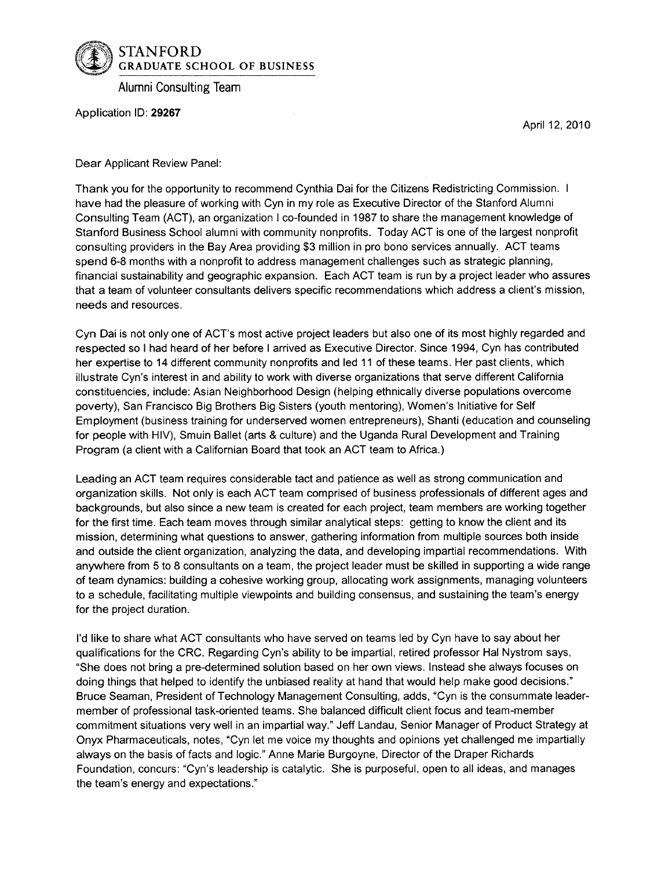

Alumni Consulting Team

Application ID: **29267**

April 12, 2010

Dear Applicant Review Panel:

Thank you for the opportunity to recommend Cynthia Dai for the Citizens Redistricting Commission. I have had the pleasure of working with Cyn in my role as Executive Director of the Stanford Alumni Consulting Team (ACT), an organization I co-founded in 1987 to share the management knowledge of Stanford Business School alumni with community nonprofits. Today ACT is one of the largest nonprofit consulting providers in the Bay Area providing \$3 million in pro bono services annually. ACT teams spend 6-8 months with a nonprofit to address management challenges such as strategic planning, financial sustainability and geographic expansion. Each ACT team is run by a project leader who assures that a team of volunteer consultants delivers specific recommendations which address a client's mission, needs and resources.

Cyn Dai is not only one of ACT's most active project leaders but also one of its most highly regarded and respected so I had heard of her before I arrived as Executive Director. Since 1994, Cyn has contributed her expertise to 14 different community nonprofits and led 11 of these teams. Her past clients, which illustrate Cyn's interest in and ability to work with diverse organizations that serve different California constituencies, include: Asian Neighborhood Design (helping ethnically diverse populations overcome poverty), San Francisco Big Brothers Big Sisters (youth mentoring), Women's Initiative for Self Employment (business training for underserved women entrepreneurs), Shanti (education and counseling for people with HIV), Smuin Ballet (arts & culture) and the Uganda Rural Development and Training Program (a client with a Californian Board that took an ACT team to Africa.)

Leading an ACT team requires considerable tact and patience as well as strong communication and organization skills. Not only is each ACT team comprised of business professionals of different ages and backgrounds, but also since a new team is created for each project, team members are working together for the first time. Each team moves through similar analytical steps: getting to know the client and its mission, determining what questions to answer, gathering information from multiple sources both inside and outside the client organization, analyzing the data, and developing impartial recommendations. With anywhere from 5 to 8 consultants on a team, the project leader must be skilled in supporting a wide range of team dynamics: building a cohesive working group, allocating work assignments, managing volunteers to a schedule, facilitating multiple viewpoints and building consensus, and sustaining the team's energy for the project duration.

I'd like to share what ACT consultants who have served on teams led by Cyn have to say about her qualifications for the CRC. Regarding Cyn's ability to be impartial, retired professor Hal Nystrom says, "She does not bring a pre-determined solution based on her own views. Instead she always focuses on doing things that helped to identify the unbiased reality at hand that would help make good decisions." Bruce Seaman, President of Technology Management Consulting, adds, "Cyn is the consummate leadermember of professional task-oriented teams. She balanced difficult client focus and team-member commitment situations very well in an impartial way." Jeff Landau, Senior Manager of Product Strategy at Onyx Pharmaceuticals, notes, "Cyn let me voice my thoughts and opinions yet challenged me impartially always on the basis of facts and logic." Anne Marie Burgoyne, Director of the Draper Richards Foundation, concurs: "Cyn's leadership is catalytic. She is purposeful, open to all ideas, and manages the team's energy and expectations."